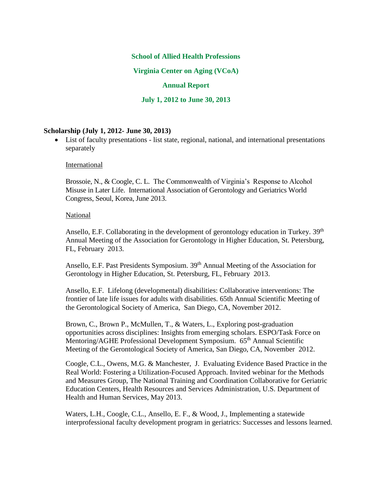### **School of Allied Health Professions**

**Virginia Center on Aging (VCoA)** 

### **Annual Report**

**July 1, 2012 to June 30, 2013**

#### **Scholarship (July 1, 2012- June 30, 2013)**

 List of faculty presentations - list state, regional, national, and international presentations separately

#### International

Brossoie, N., & Coogle, C. L. The Commonwealth of Virginia's Response to Alcohol Misuse in Later Life. International Association of Gerontology and Geriatrics World Congress, Seoul, Korea, June 2013.

#### National

Ansello, E.F. Collaborating in the development of gerontology education in Turkey. 39<sup>th</sup> Annual Meeting of the Association for Gerontology in Higher Education, St. Petersburg, FL, February 2013.

Ansello, E.F. Past Presidents Symposium. 39<sup>th</sup> Annual Meeting of the Association for Gerontology in Higher Education, St. Petersburg, FL, February 2013.

Ansello, E.F. Lifelong (developmental) disabilities: Collaborative interventions: The frontier of late life issues for adults with disabilities. 65th Annual Scientific Meeting of the Gerontological Society of America, San Diego, CA, November 2012.

Brown, C., Brown P., McMullen, T., & Waters, L., Exploring post-graduation opportunities across disciplines: Insights from emerging scholars. ESPO/Task Force on Mentoring/AGHE Professional Development Symposium. 65<sup>th</sup> Annual Scientific Meeting of the Gerontological Society of America, San Diego, CA, November 2012.

Coogle, C.L., Owens, M.G. & Manchester, J. Evaluating Evidence Based Practice in the Real World: Fostering a Utilization-Focused Approach. Invited webinar for the Methods and Measures Group, The National Training and Coordination Collaborative for Geriatric Education Centers, Health Resources and Services Administration, U.S. Department of Health and Human Services, May 2013.

Waters, L.H., Coogle, C.L., Ansello, E. F., & Wood, J., Implementing a statewide interprofessional faculty development program in geriatrics: Successes and lessons learned.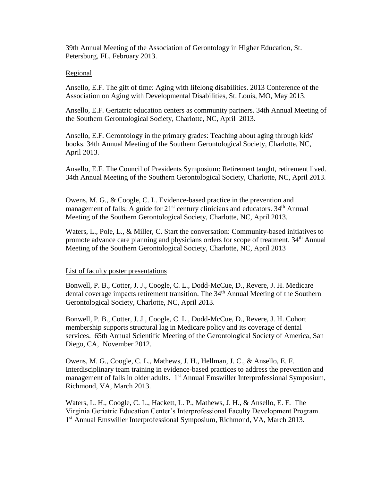39th Annual Meeting of the Association of Gerontology in Higher Education, St. Petersburg, FL, February 2013.

### Regional

Ansello, E.F. The gift of time: Aging with lifelong disabilities. 2013 Conference of the Association on Aging with Developmental Disabilities, St. Louis, MO, May 2013.

Ansello, E.F. Geriatric education centers as community partners. 34th Annual Meeting of the Southern Gerontological Society, Charlotte, NC, April 2013.

Ansello, E.F. Gerontology in the primary grades: Teaching about aging through kids' books. 34th Annual Meeting of the Southern Gerontological Society, Charlotte, NC, April 2013.

Ansello, E.F. The Council of Presidents Symposium: Retirement taught, retirement lived. 34th Annual Meeting of the Southern Gerontological Society, Charlotte, NC, April 2013.

Owens, M. G., & Coogle, C. L. Evidence-based practice in the prevention and management of falls: A guide for  $21<sup>st</sup>$  century clinicians and educators.  $34<sup>th</sup>$  Annual Meeting of the Southern Gerontological Society, Charlotte, NC, April 2013.

Waters, L., Pole, L., & Miller, C. Start the conversation: Community-based initiatives to promote advance care planning and physicians orders for scope of treatment. 34<sup>th</sup> Annual Meeting of the Southern Gerontological Society, Charlotte, NC, April 2013

### List of faculty poster presentations

Bonwell, P. B., Cotter, J. J., Coogle, C. L., Dodd-McCue, D., Revere, J. H. Medicare dental coverage impacts retirement transition. The 34<sup>th</sup> Annual Meeting of the Southern Gerontological Society, Charlotte, NC, April 2013.

Bonwell, P. B., Cotter, J. J., Coogle, C. L., Dodd-McCue, D., Revere, J. H. Cohort membership supports structural lag in Medicare policy and its coverage of dental services. 65th Annual Scientific Meeting of the Gerontological Society of America, San Diego, CA, November 2012.

Owens, M. G., Coogle, C. L., Mathews, J. H., Hellman, J. C., & Ansello, E. F. Interdisciplinary team training in evidence-based practices to address the prevention and management of falls in older adults. 1<sup>st</sup> Annual Emswiller Interprofessional Symposium, Richmond, VA, March 2013.

Waters, L. H., Coogle, C. L., Hackett, L. P., Mathews, J. H., & Ansello, E. F. The Virginia Geriatric Education Center's Interprofessional Faculty Development Program. 1<sup>st</sup> Annual Emswiller Interprofessional Symposium, Richmond, VA, March 2013.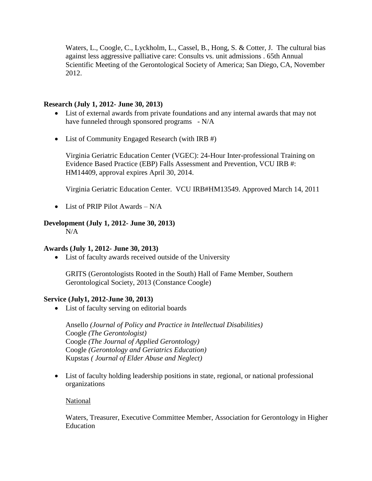Waters, L., Coogle, C., Lyckholm, L., Cassel, B., Hong, S. & Cotter, J. The cultural bias against less aggressive palliative care: Consults vs. unit admissions . 65th Annual Scientific Meeting of the Gerontological Society of America; San Diego, CA, November 2012.

## **Research (July 1, 2012- June 30, 2013)**

- List of external awards from private foundations and any internal awards that may not have funneled through sponsored programs - N/A
- List of Community Engaged Research (with IRB #)

Virginia Geriatric Education Center (VGEC): 24-Hour Inter-professional Training on Evidence Based Practice (EBP) Falls Assessment and Prevention, VCU IRB #: HM14409, approval expires April 30, 2014.

Virginia Geriatric Education Center. VCU IRB#HM13549. Approved March 14, 2011

• List of PRIP Pilot Awards  $-N/A$ 

# **Development (July 1, 2012- June 30, 2013)**

N/A

# **Awards (July 1, 2012- June 30, 2013)**

List of faculty awards received outside of the University

GRITS (Gerontologists Rooted in the South) Hall of Fame Member, Southern Gerontological Society, 2013 (Constance Coogle)

# **Service (July1, 2012-June 30, 2013)**

• List of faculty serving on editorial boards

Ansello *(Journal of Policy and Practice in Intellectual Disabilities)* Coogle *(The Gerontologist)* Coogle *(The Journal of Applied Gerontology)* Coogle *(Gerontology and Geriatrics Education)* Kupstas *( Journal of Elder Abuse and Neglect)*

 List of faculty holding leadership positions in state, regional, or national professional organizations

# National

Waters, Treasurer, Executive Committee Member, Association for Gerontology in Higher Education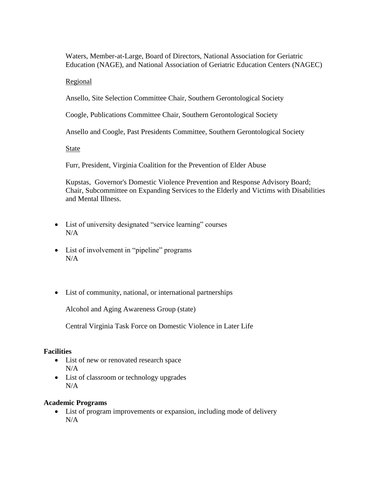Waters, Member-at-Large, Board of Directors, National Association for Geriatric Education (NAGE), and National Association of Geriatric Education Centers (NAGEC)

### Regional

Ansello, Site Selection Committee Chair, Southern Gerontological Society

Coogle, Publications Committee Chair, Southern Gerontological Society

Ansello and Coogle, Past Presidents Committee, Southern Gerontological Society

State

Furr, President, Virginia Coalition for the Prevention of Elder Abuse

Kupstas, Governor's Domestic Violence Prevention and Response Advisory Board; Chair, Subcommittee on Expanding Services to the Elderly and Victims with Disabilities and Mental Illness.

- List of university designated "service learning" courses  $N/A$
- List of involvement in "pipeline" programs N/A
- List of community, national, or international partnerships

Alcohol and Aging Awareness Group (state)

Central Virginia Task Force on Domestic Violence in Later Life

### **Facilities**

- List of new or renovated research space N/A
- List of classroom or technology upgrades N/A

### **Academic Programs**

 List of program improvements or expansion, including mode of delivery N/A